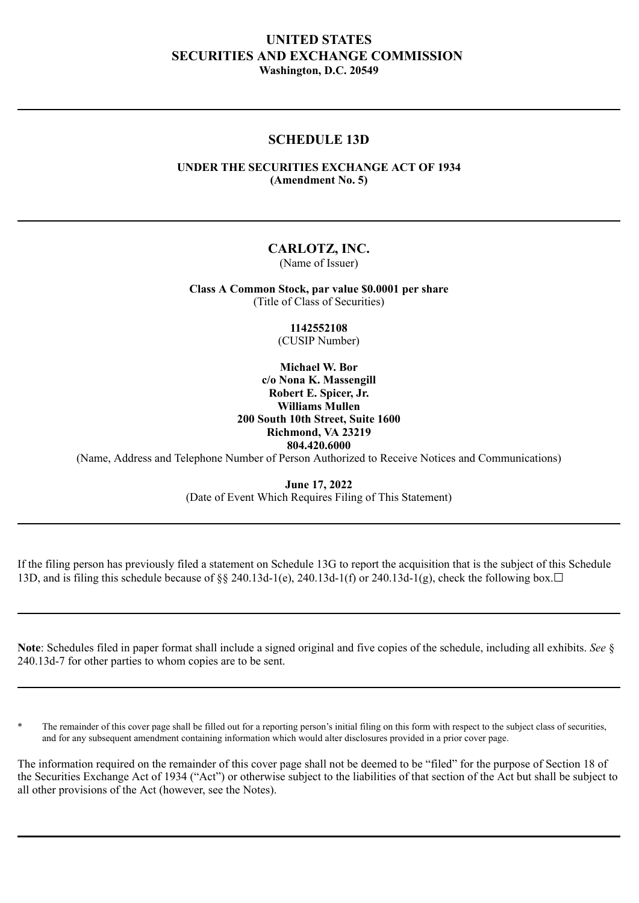# **UNITED STATES SECURITIES AND EXCHANGE COMMISSION Washington, D.C. 20549**

## **SCHEDULE 13D**

## **UNDER THE SECURITIES EXCHANGE ACT OF 1934 (Amendment No. 5)**

## **CARLOTZ, INC.**

(Name of Issuer)

**Class A Common Stock, par value \$0.0001 per share** (Title of Class of Securities)

> **1142552108** (CUSIP Number)

**Michael W. Bor c/o Nona K. Massengill Robert E. Spicer, Jr. Williams Mullen 200 South 10th Street, Suite 1600 Richmond, VA 23219 804.420.6000**

(Name, Address and Telephone Number of Person Authorized to Receive Notices and Communications)

**June 17, 2022** (Date of Event Which Requires Filing of This Statement)

If the filing person has previously filed a statement on Schedule 13G to report the acquisition that is the subject of this Schedule 13D, and is filing this schedule because of  $\frac{8}{8}$  240.13d-1(e), 240.13d-1(f) or 240.13d-1(g), check the following box.  $\Box$ 

**Note**: Schedules filed in paper format shall include a signed original and five copies of the schedule, including all exhibits. *See* § 240.13d-7 for other parties to whom copies are to be sent.

The remainder of this cover page shall be filled out for a reporting person's initial filing on this form with respect to the subject class of securities, and for any subsequent amendment containing information which would alter disclosures provided in a prior cover page.

The information required on the remainder of this cover page shall not be deemed to be "filed" for the purpose of Section 18 of the Securities Exchange Act of 1934 ("Act") or otherwise subject to the liabilities of that section of the Act but shall be subject to all other provisions of the Act (however, see the Notes).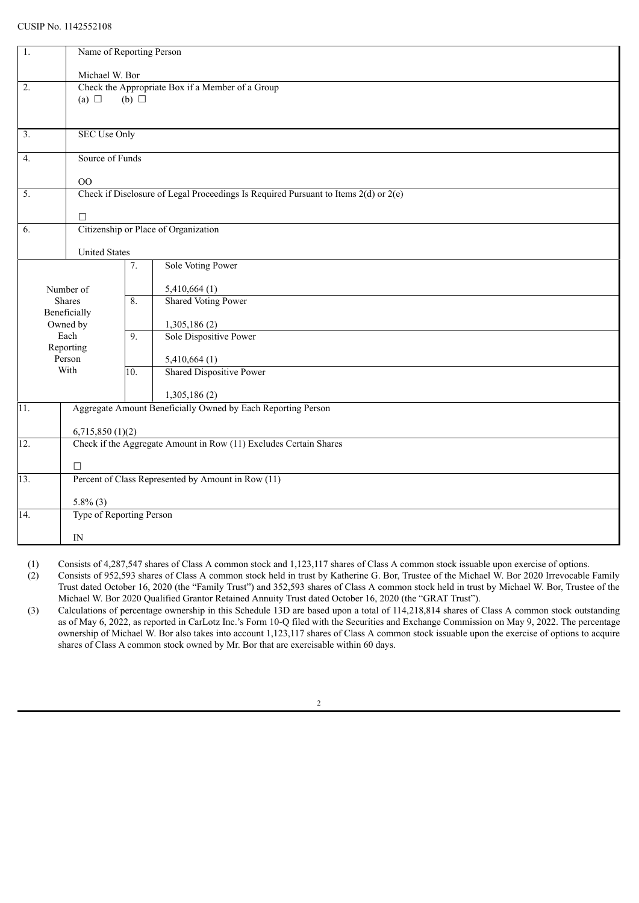#### CUSIP No. 1142552108

| 1.                     | Name of Reporting Person                                                                |                          |                                                         |  |  |  |
|------------------------|-----------------------------------------------------------------------------------------|--------------------------|---------------------------------------------------------|--|--|--|
|                        | Michael W. Bor                                                                          |                          |                                                         |  |  |  |
| 2.                     | Check the Appropriate Box if a Member of a Group                                        |                          |                                                         |  |  |  |
|                        | (b) $\Box$<br>(a) $\Box$                                                                |                          |                                                         |  |  |  |
|                        |                                                                                         |                          |                                                         |  |  |  |
|                        |                                                                                         |                          |                                                         |  |  |  |
| 3.                     | <b>SEC Use Only</b>                                                                     |                          |                                                         |  |  |  |
|                        |                                                                                         |                          |                                                         |  |  |  |
| 4.                     | Source of Funds                                                                         |                          |                                                         |  |  |  |
|                        | O <sub>O</sub>                                                                          |                          |                                                         |  |  |  |
| $\overline{5}$ .       | Check if Disclosure of Legal Proceedings Is Required Pursuant to Items $2(d)$ or $2(e)$ |                          |                                                         |  |  |  |
|                        |                                                                                         |                          |                                                         |  |  |  |
|                        | $\Box$                                                                                  |                          |                                                         |  |  |  |
| 6.                     |                                                                                         |                          | Citizenship or Place of Organization                    |  |  |  |
|                        | <b>United States</b>                                                                    |                          |                                                         |  |  |  |
|                        |                                                                                         | 7.                       | Sole Voting Power                                       |  |  |  |
|                        |                                                                                         |                          |                                                         |  |  |  |
| Number of              |                                                                                         |                          | 5,410,664(1)                                            |  |  |  |
|                        | Shares                                                                                  | 8.                       | <b>Shared Voting Power</b>                              |  |  |  |
| Beneficially           |                                                                                         |                          |                                                         |  |  |  |
|                        | Owned by                                                                                |                          | 1,305,186(2)                                            |  |  |  |
| Each                   |                                                                                         | 9.                       | Sole Dispositive Power                                  |  |  |  |
| Reporting<br>Person    |                                                                                         |                          |                                                         |  |  |  |
| With                   |                                                                                         | 10.                      | $\frac{5,410,664(1)}{ \text{Shared Dispositive Power}}$ |  |  |  |
|                        |                                                                                         |                          |                                                         |  |  |  |
|                        |                                                                                         |                          | 1,305,186(2)                                            |  |  |  |
| $\overline{11}$ .      | Aggregate Amount Beneficially Owned by Each Reporting Person                            |                          |                                                         |  |  |  |
|                        |                                                                                         |                          |                                                         |  |  |  |
| 6,715,850(1)(2)<br>12. |                                                                                         |                          |                                                         |  |  |  |
|                        | Check if the Aggregate Amount in Row (11) Excludes Certain Shares                       |                          |                                                         |  |  |  |
|                        | $\Box$                                                                                  |                          |                                                         |  |  |  |
| $\overline{13}$ .      | Percent of Class Represented by Amount in Row (11)                                      |                          |                                                         |  |  |  |
|                        |                                                                                         |                          |                                                         |  |  |  |
|                        | $5.8\%$ (3)                                                                             |                          |                                                         |  |  |  |
| 14.                    |                                                                                         | Type of Reporting Person |                                                         |  |  |  |
|                        | IN                                                                                      |                          |                                                         |  |  |  |

(1) Consists of 4,287,547 shares of Class A common stock and 1,123,117 shares of Class A common stock issuable upon exercise of options.

(2) Consists of 952,593 shares of Class A common stock held in trust by Katherine G. Bor, Trustee of the Michael W. Bor 2020 Irrevocable Family Trust dated October 16, 2020 (the "Family Trust") and 352,593 shares of Class A common stock held in trust by Michael W. Bor, Trustee of the Michael W. Bor 2020 Qualified Grantor Retained Annuity Trust dated October 16, 2020 (the "GRAT Trust").

(3) Calculations of percentage ownership in this Schedule 13D are based upon a total of 114,218,814 shares of Class A common stock outstanding as of May 6, 2022, as reported in CarLotz Inc.'s Form 10-Q filed with the Securities and Exchange Commission on May 9, 2022. The percentage ownership of Michael W. Bor also takes into account 1,123,117 shares of Class A common stock issuable upon the exercise of options to acquire shares of Class A common stock owned by Mr. Bor that are exercisable within 60 days.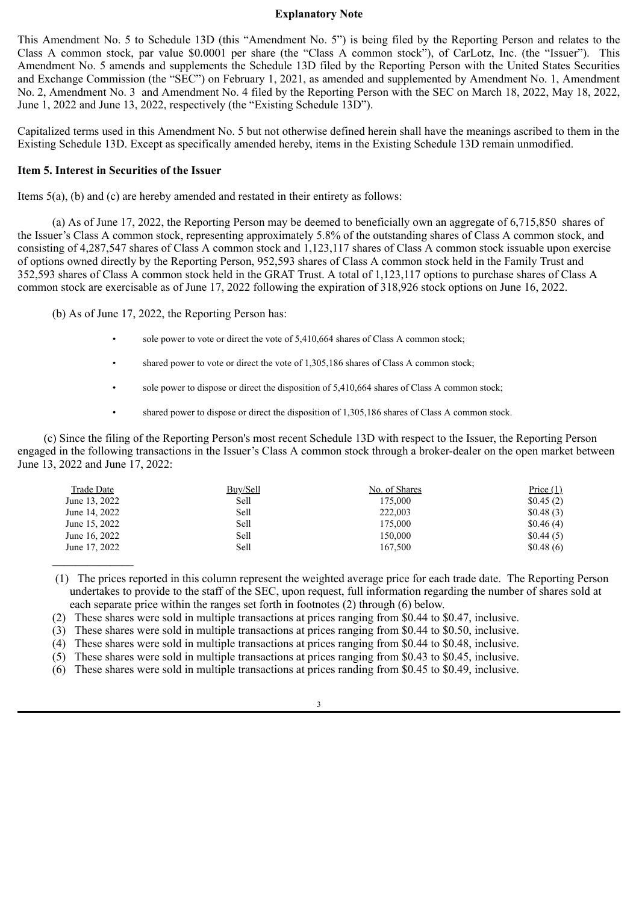#### **Explanatory Note**

This Amendment No. 5 to Schedule 13D (this "Amendment No. 5") is being filed by the Reporting Person and relates to the Class A common stock, par value \$0.0001 per share (the "Class A common stock"), of CarLotz, Inc. (the "Issuer"). This Amendment No. 5 amends and supplements the Schedule 13D filed by the Reporting Person with the United States Securities and Exchange Commission (the "SEC") on February 1, 2021, as amended and supplemented by Amendment No. 1, Amendment No. 2, Amendment No. 3 and Amendment No. 4 filed by the Reporting Person with the SEC on March 18, 2022, May 18, 2022, June 1, 2022 and June 13, 2022, respectively (the "Existing Schedule 13D").

Capitalized terms used in this Amendment No. 5 but not otherwise defined herein shall have the meanings ascribed to them in the Existing Schedule 13D. Except as specifically amended hereby, items in the Existing Schedule 13D remain unmodified.

## **Item 5. Interest in Securities of the Issuer**

Items 5(a), (b) and (c) are hereby amended and restated in their entirety as follows:

(a) As of June 17, 2022, the Reporting Person may be deemed to beneficially own an aggregate of 6,715,850 shares of the Issuer's Class A common stock, representing approximately 5.8% of the outstanding shares of Class A common stock, and consisting of 4,287,547 shares of Class A common stock and 1,123,117 shares of Class A common stock issuable upon exercise of options owned directly by the Reporting Person, 952,593 shares of Class A common stock held in the Family Trust and 352,593 shares of Class A common stock held in the GRAT Trust. A total of 1,123,117 options to purchase shares of Class A common stock are exercisable as of June 17, 2022 following the expiration of 318,926 stock options on June 16, 2022.

(b) As of June 17, 2022, the Reporting Person has:

- sole power to vote or direct the vote of 5,410,664 shares of Class A common stock;
- shared power to vote or direct the vote of 1,305,186 shares of Class A common stock;
- sole power to dispose or direct the disposition of 5,410,664 shares of Class A common stock;
- shared power to dispose or direct the disposition of 1,305,186 shares of Class A common stock.

(c) Since the filing of the Reporting Person's most recent Schedule 13D with respect to the Issuer, the Reporting Person engaged in the following transactions in the Issuer's Class A common stock through a broker-dealer on the open market between June 13, 2022 and June 17, 2022:

| Trade Date    | Buy/Sell | No. of Shares | Price $(1)$ |
|---------------|----------|---------------|-------------|
| June 13, 2022 | Sell     | 175,000       | \$0.45(2)   |
| June 14, 2022 | Sell     | 222,003       | \$0.48(3)   |
| June 15, 2022 | Sell     | 175,000       | \$0.46(4)   |
| June 16, 2022 | Sell     | 150,000       | \$0.44(5)   |
| June 17, 2022 | Sell     | 167.500       | \$0.48(6)   |
|               |          |               |             |

 (1) The prices reported in this column represent the weighted average price for each trade date. The Reporting Person undertakes to provide to the staff of the SEC, upon request, full information regarding the number of shares sold at each separate price within the ranges set forth in footnotes (2) through (6) below.

(2) These shares were sold in multiple transactions at prices ranging from \$0.44 to \$0.47, inclusive.

(3) These shares were sold in multiple transactions at prices ranging from \$0.44 to \$0.50, inclusive.

(4) These shares were sold in multiple transactions at prices ranging from \$0.44 to \$0.48, inclusive.

(5) These shares were sold in multiple transactions at prices ranging from \$0.43 to \$0.45, inclusive.

(6) These shares were sold in multiple transactions at prices randing from \$0.45 to \$0.49, inclusive.

3